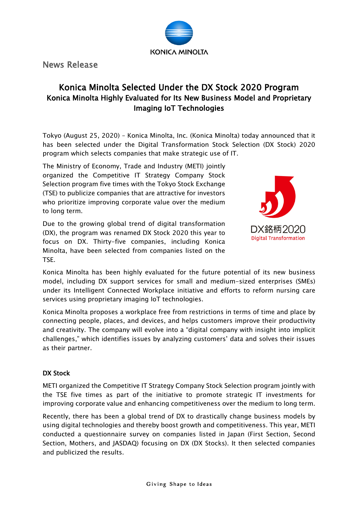

News Release

# Konica Minolta Selected Under the DX Stock 2020 Program Konica Minolta Highly Evaluated for Its New Business Model and Proprietary Imaging IoT Technologies

Tokyo (August 25, 2020) – Konica Minolta, Inc. (Konica Minolta) today announced that it has been selected under the Digital Transformation Stock Selection (DX Stock) 2020 program which selects companies that make strategic use of IT.

The Ministry of Economy, Trade and Industry (METI) jointly organized the Competitive IT Strategy Company Stock Selection program five times with the Tokyo Stock Exchange (TSE) to publicize companies that are attractive for investors who prioritize improving corporate value over the medium to long term.

Due to the growing global trend of digital transformation (DX), the program was renamed DX Stock 2020 this year to focus on DX. Thirty-five companies, including Konica Minolta, have been selected from companies listed on the TSE.



Konica Minolta has been highly evaluated for the future potential of its new business model, including DX support services for small and medium-sized enterprises (SMEs) under its Intelligent Connected Workplace initiative and efforts to reform nursing care services using proprietary imaging IoT technologies.

Konica Minolta proposes a workplace free from restrictions in terms of time and place by connecting people, places, and devices, and helps customers improve their productivity and creativity. The company will evolve into a "digital company with insight into implicit challenges," which identifies issues by analyzing customers' data and solves their issues as their partner.

# DX Stock

METI organized the Competitive IT Strategy Company Stock Selection program jointly with the TSE five times as part of the initiative to promote strategic IT investments for improving corporate value and enhancing competitiveness over the medium to long term.

Recently, there has been a global trend of DX to drastically change business models by using digital technologies and thereby boost growth and competitiveness. This year, METI conducted a questionnaire survey on companies listed in Japan (First Section, Second Section, Mothers, and JASDAQ) focusing on DX (DX Stocks). It then selected companies and publicized the results.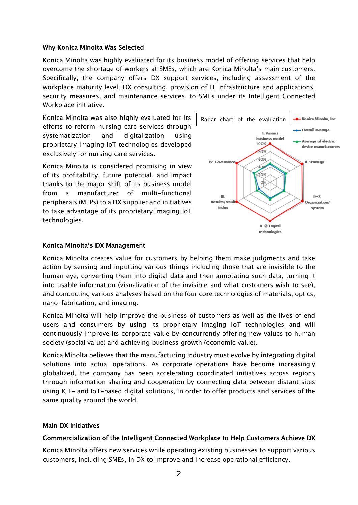## Why Konica Minolta Was Selected

Konica Minolta was highly evaluated for its business model of offering services that help overcome the shortage of workers at SMEs, which are Konica Minolta's main customers. Specifically, the company offers DX support services, including assessment of the workplace maturity level, DX consulting, provision of IT infrastructure and applications, security measures, and maintenance services, to SMEs under its Intelligent Connected Workplace initiative.

Konica Minolta was also highly evaluated for its efforts to reform nursing care services through systematization and digitalization using proprietary imaging IoT technologies developed exclusively for nursing care services.

Konica Minolta is considered promising in view of its profitability, future potential, and impact thanks to the major shift of its business model from a manufacturer of multi-functional peripherals (MFPs) to a DX supplier and initiatives to take advantage of its proprietary imaging IoT technologies.



## Konica Minolta's DX Management

Konica Minolta creates value for customers by helping them make judgments and take action by sensing and inputting various things including those that are invisible to the human eye, converting them into digital data and then annotating such data, turning it into usable information (visualization of the invisible and what customers wish to see), and conducting various analyses based on the four core technologies of materials, optics, nano-fabrication, and imaging.

Konica Minolta will help improve the business of customers as well as the lives of end users and consumers by using its proprietary imaging IoT technologies and will continuously improve its corporate value by concurrently offering new values to human society (social value) and achieving business growth (economic value).

Konica Minolta believes that the manufacturing industry must evolve by integrating digital solutions into actual operations. As corporate operations have become increasingly globalized, the company has been accelerating coordinated initiatives across regions through information sharing and cooperation by connecting data between distant sites using ICT- and IoT-based digital solutions, in order to offer products and services of the same quality around the world.

## Main DX Initiatives

## Commercialization of the Intelligent Connected Workplace to Help Customers Achieve DX

Konica Minolta offers new services while operating existing businesses to support various customers, including SMEs, in DX to improve and increase operational efficiency.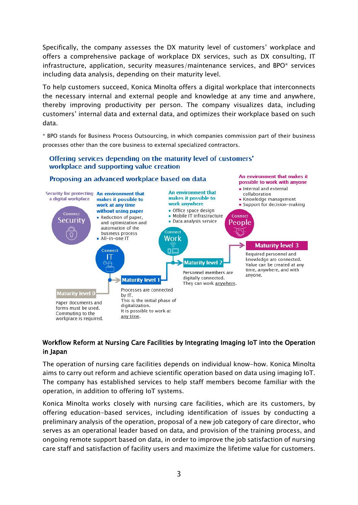Specifically, the company assesses the DX maturity level of customers' workplace and offers a comprehensive package of workplace DX services, such as DX consulting, IT infrastructure, application, security measures/maintenance services, and BPO\* services including data analysis, depending on their maturity level.

To help customers succeed, Konica Minolta offers a digital workplace that interconnects the necessary internal and external people and knowledge at any time and anywhere, thereby improving productivity per person. The company visualizes data, including customers' internal data and external data, and optimizes their workplace based on such data.

\* BPO stands for Business Process Outsourcing, in which companies commission part of their business processes other than the core business to external specialized contractors.

## Offering services depending on the maturity level of customers' workplace and supporting value creation



## Workflow Reform at Nursing Care Facilities by Integrating Imaging IoT into the Operation in Japan

The operation of nursing care facilities depends on individual know-how. Konica Minolta aims to carry out reform and achieve scientific operation based on data using imaging IoT. The company has established services to help staff members become familiar with the operation, in addition to offering IoT systems.

Konica Minolta works closely with nursing care facilities, which are its customers, by offering education-based services, including identification of issues by conducting a preliminary analysis of the operation, proposal of a new job category of care director, who serves as an operational leader based on data, and provision of the training process, and ongoing remote support based on data, in order to improve the job satisfaction of nursing care staff and satisfaction of facility users and maximize the lifetime value for customers.